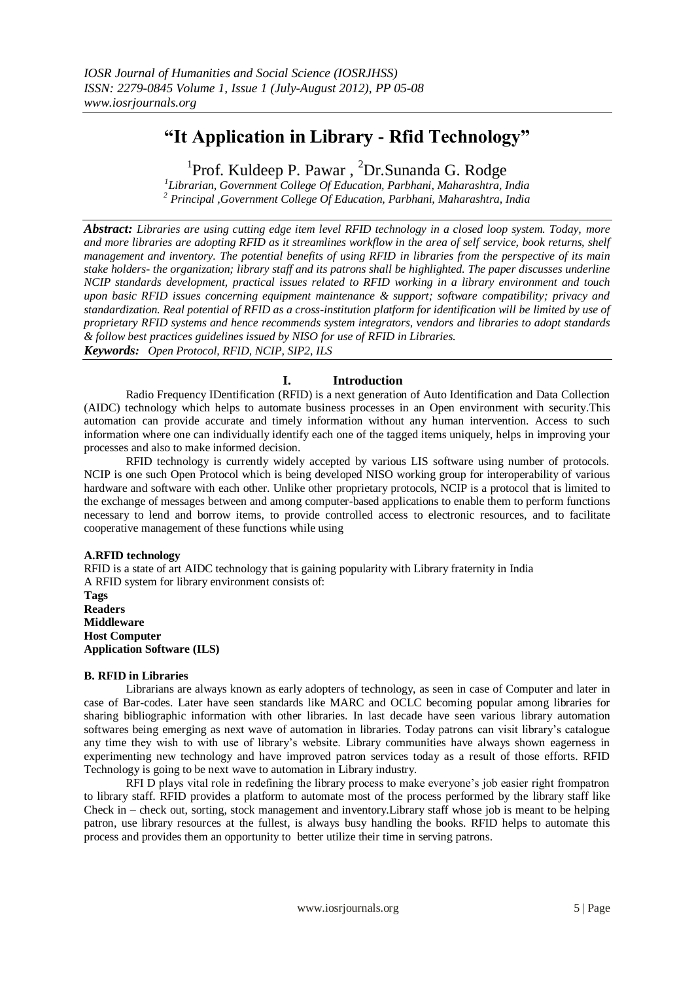# **"It Application in Library - Rfid Technology"**

<sup>1</sup>Prof. Kuldeep P. Pawar, <sup>2</sup>Dr.Sunanda G. Rodge

*1 Librarian, Government College Of Education, Parbhani, Maharashtra, India <sup>2</sup> Principal ,Government College Of Education, Parbhani, Maharashtra, India*

*Abstract: Libraries are using cutting edge item level RFID technology in a closed loop system. Today, more and more libraries are adopting RFID as it streamlines workflow in the area of self service, book returns, shelf management and inventory. The potential benefits of using RFID in libraries from the perspective of its main stake holders- the organization; library staff and its patrons shall be highlighted. The paper discusses underline NCIP standards development, practical issues related to RFID working in a library environment and touch upon basic RFID issues concerning equipment maintenance & support; software compatibility; privacy and standardization. Real potential of RFID as a cross-institution platform for identification will be limited by use of proprietary RFID systems and hence recommends system integrators, vendors and libraries to adopt standards & follow best practices guidelines issued by NISO for use of RFID in Libraries. Keywords: Open Protocol, RFID, NCIP, SIP2, ILS*

# **I. Introduction**

Radio Frequency IDentification (RFID) is a next generation of Auto Identification and Data Collection (AIDC) technology which helps to automate business processes in an Open environment with security.This automation can provide accurate and timely information without any human intervention. Access to such information where one can individually identify each one of the tagged items uniquely, helps in improving your processes and also to make informed decision.

RFID technology is currently widely accepted by various LIS software using number of protocols. NCIP is one such Open Protocol which is being developed NISO working group for interoperability of various hardware and software with each other. Unlike other proprietary protocols, NCIP is a protocol that is limited to the exchange of messages between and among computer-based applications to enable them to perform functions necessary to lend and borrow items, to provide controlled access to electronic resources, and to facilitate cooperative management of these functions while using

# **A.RFID technology**

RFID is a state of art AIDC technology that is gaining popularity with Library fraternity in India A RFID system for library environment consists of:

**Tags Readers Middleware Host Computer Application Software (ILS)**

# **B. RFID in Libraries**

Librarians are always known as early adopters of technology, as seen in case of Computer and later in case of Bar-codes. Later have seen standards like MARC and OCLC becoming popular among libraries for sharing bibliographic information with other libraries. In last decade have seen various library automation softwares being emerging as next wave of automation in libraries. Today patrons can visit library's catalogue any time they wish to with use of library's website. Library communities have always shown eagerness in experimenting new technology and have improved patron services today as a result of those efforts. RFID Technology is going to be next wave to automation in Library industry.

RFI D plays vital role in redefining the library process to make everyone's job easier right frompatron to library staff. RFID provides a platform to automate most of the process performed by the library staff like Check in – check out, sorting, stock management and inventory.Library staff whose job is meant to be helping patron, use library resources at the fullest, is always busy handling the books. RFID helps to automate this process and provides them an opportunity to better utilize their time in serving patrons.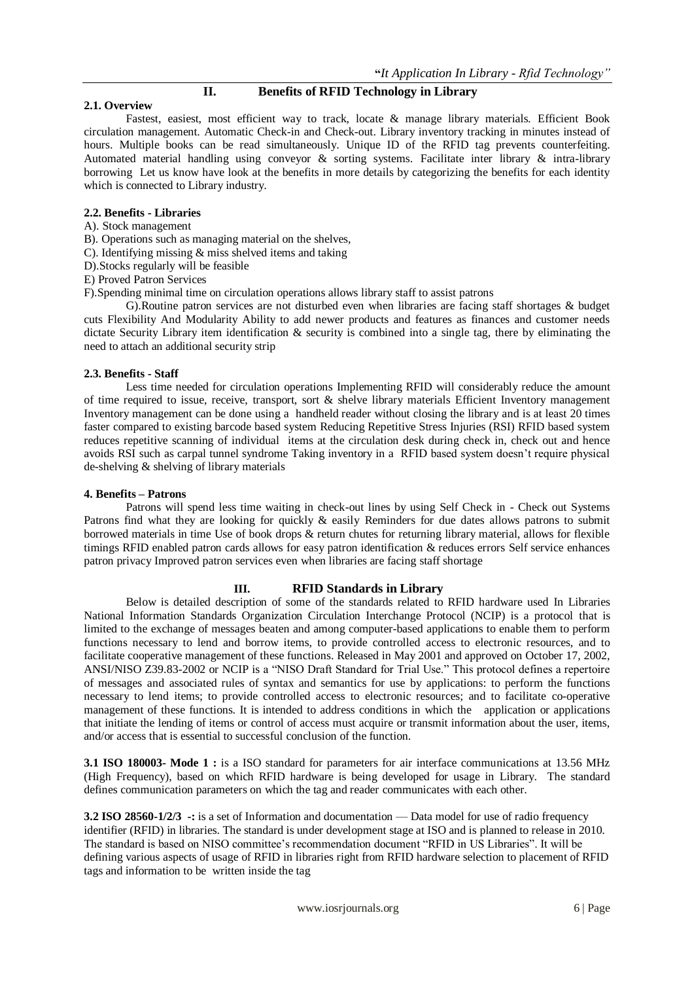# **II. Benefits of RFID Technology in Library**

### **2.1. Overview**

Fastest, easiest, most efficient way to track, locate & manage library materials. Efficient Book circulation management. Automatic Check-in and Check-out. Library inventory tracking in minutes instead of hours. Multiple books can be read simultaneously. Unique ID of the RFID tag prevents counterfeiting. Automated material handling using conveyor & sorting systems. Facilitate inter library & intra-library borrowing Let us know have look at the benefits in more details by categorizing the benefits for each identity which is connected to Library industry.

# **2.2. Benefits - Libraries**

A). Stock management

B). Operations such as managing material on the shelves,

C). Identifying missing & miss shelved items and taking

D).Stocks regularly will be feasible

E) Proved Patron Services

F).Spending minimal time on circulation operations allows library staff to assist patrons

G).Routine patron services are not disturbed even when libraries are facing staff shortages & budget cuts Flexibility And Modularity Ability to add newer products and features as finances and customer needs dictate Security Library item identification & security is combined into a single tag, there by eliminating the need to attach an additional security strip

# **2.3. Benefits - Staff**

Less time needed for circulation operations Implementing RFID will considerably reduce the amount of time required to issue, receive, transport, sort & shelve library materials Efficient Inventory management Inventory management can be done using a handheld reader without closing the library and is at least 20 times faster compared to existing barcode based system Reducing Repetitive Stress Injuries (RSI) RFID based system reduces repetitive scanning of individual items at the circulation desk during check in, check out and hence avoids RSI such as carpal tunnel syndrome Taking inventory in a RFID based system doesn't require physical de-shelving & shelving of library materials

#### **4. Benefits – Patrons**

Patrons will spend less time waiting in check-out lines by using Self Check in - Check out Systems Patrons find what they are looking for quickly & easily Reminders for due dates allows patrons to submit borrowed materials in time Use of book drops & return chutes for returning library material, allows for flexible timings RFID enabled patron cards allows for easy patron identification & reduces errors Self service enhances patron privacy Improved patron services even when libraries are facing staff shortage

# **III. RFID Standards in Library**

Below is detailed description of some of the standards related to RFID hardware used In Libraries National Information Standards Organization Circulation Interchange Protocol (NCIP) is a protocol that is limited to the exchange of messages beaten and among computer-based applications to enable them to perform functions necessary to lend and borrow items, to provide controlled access to electronic resources, and to facilitate cooperative management of these functions. Released in May 2001 and approved on October 17, 2002, ANSI/NISO Z39.83-2002 or NCIP is a "NISO Draft Standard for Trial Use." This protocol defines a repertoire of messages and associated rules of syntax and semantics for use by applications: to perform the functions necessary to lend items; to provide controlled access to electronic resources; and to facilitate co-operative management of these functions. It is intended to address conditions in which the application or applications that initiate the lending of items or control of access must acquire or transmit information about the user, items, and/or access that is essential to successful conclusion of the function.

**3.1 ISO 180003- Mode 1 :** is a ISO standard for parameters for air interface communications at 13.56 MHz (High Frequency), based on which RFID hardware is being developed for usage in Library. The standard defines communication parameters on which the tag and reader communicates with each other.

**3.2 ISO 28560-1/2/3** -: is a set of Information and documentation — Data model for use of radio frequency identifier (RFID) in libraries. The standard is under development stage at ISO and is planned to release in 2010. The standard is based on NISO committee's recommendation document "RFID in US Libraries". It will be defining various aspects of usage of RFID in libraries right from RFID hardware selection to placement of RFID tags and information to be written inside the tag

www.iosrjournals.org 6 | Page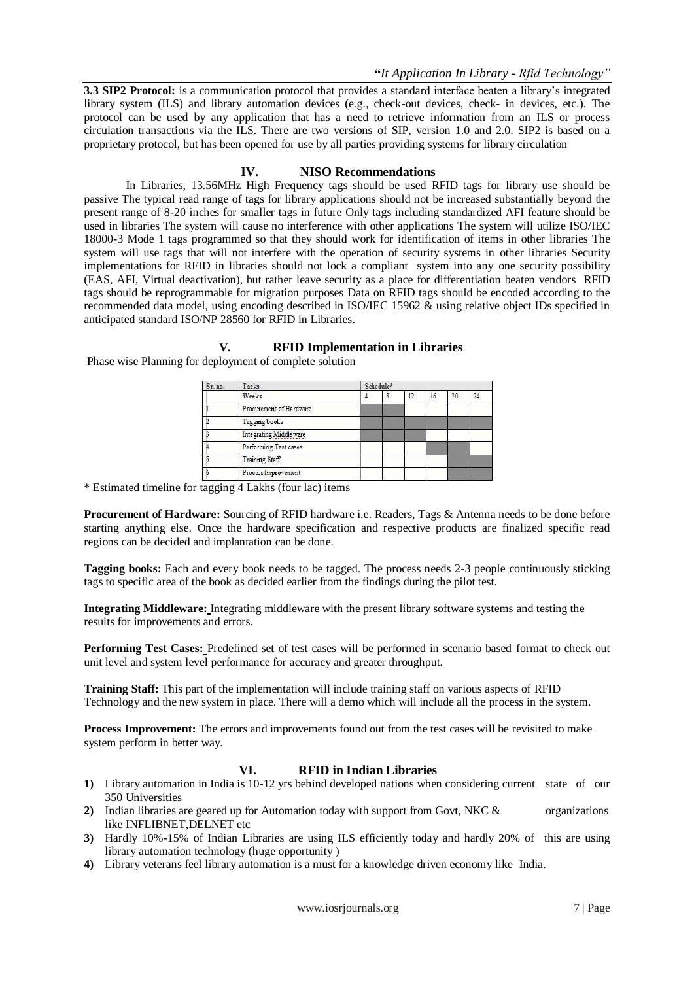**3.3 SIP2 Protocol:** is a communication protocol that provides a standard interface beaten a library's integrated library system (ILS) and library automation devices (e.g., check-out devices, check- in devices, etc.). The protocol can be used by any application that has a need to retrieve information from an ILS or process circulation transactions via the ILS. There are two versions of SIP, version 1.0 and 2.0. SIP2 is based on a proprietary protocol, but has been opened for use by all parties providing systems for library circulation

### **IV. NISO Recommendations**

In Libraries, 13.56MHz High Frequency tags should be used RFID tags for library use should be passive The typical read range of tags for library applications should not be increased substantially beyond the present range of 8-20 inches for smaller tags in future Only tags including standardized AFI feature should be used in libraries The system will cause no interference with other applications The system will utilize ISO/IEC 18000-3 Mode 1 tags programmed so that they should work for identification of items in other libraries The system will use tags that will not interfere with the operation of security systems in other libraries Security implementations for RFID in libraries should not lock a compliant system into any one security possibility (EAS, AFI, Virtual deactivation), but rather leave security as a place for differentiation beaten vendors RFID tags should be reprogrammable for migration purposes Data on RFID tags should be encoded according to the recommended data model, using encoding described in ISO/IEC 15962 & using relative object IDs specified in anticipated standard ISO/NP 28560 for RFID in Libraries.

# **V. RFID Implementation in Libraries**

| Sr. no. | Tasks<br>Weeks          | Schedule* |  |    |    |    |  |
|---------|-------------------------|-----------|--|----|----|----|--|
|         |                         |           |  | 12 | 16 | 20 |  |
|         | Procurement of Hardware |           |  |    |    |    |  |
|         | Tagging books           |           |  |    |    |    |  |
|         | Integrating Middleware  |           |  |    |    |    |  |
|         | Performing Test cases   |           |  |    |    |    |  |
|         | Training Staff          |           |  |    |    |    |  |
|         | Process Improvement     |           |  |    |    |    |  |

Phase wise Planning for deployment of complete solution

\* Estimated timeline for tagging 4 Lakhs (four lac) items

**Procurement of Hardware:** Sourcing of RFID hardware i.e. Readers, Tags & Antenna needs to be done before starting anything else. Once the hardware specification and respective products are finalized specific read regions can be decided and implantation can be done.

**Tagging books:** Each and every book needs to be tagged. The process needs 2-3 people continuously sticking tags to specific area of the book as decided earlier from the findings during the pilot test.

**Integrating Middleware:** Integrating middleware with the present library software systems and testing the results for improvements and errors.

**Performing Test Cases:** Predefined set of test cases will be performed in scenario based format to check out unit level and system level performance for accuracy and greater throughput.

**Training Staff:** This part of the implementation will include training staff on various aspects of RFID Technology and the new system in place. There will a demo which will include all the process in the system.

**Process Improvement:** The errors and improvements found out from the test cases will be revisited to make system perform in better way.

# **VI. RFID in Indian Libraries**

- **1)** Library automation in India is 10-12 yrs behind developed nations when considering current state of our 350 Universities
- **2)** Indian libraries are geared up for Automation today with support from Govt, NKC & organizations like INFLIBNET,DELNET etc
- **3)** Hardly 10%-15% of Indian Libraries are using ILS efficiently today and hardly 20% of this are using library automation technology (huge opportunity )
- **4)** Library veterans feel library automation is a must for a knowledge driven economy like India.